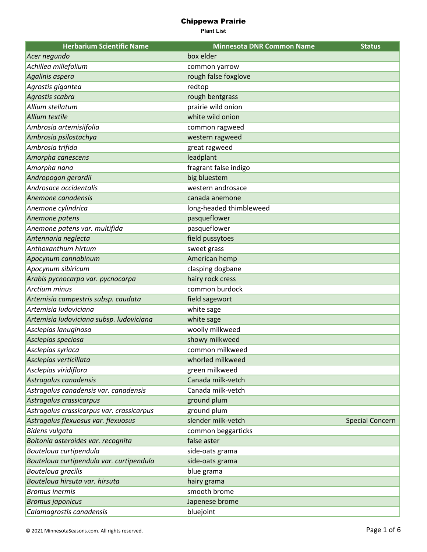| <b>Herbarium Scientific Name</b>          | <b>Minnesota DNR Common Name</b> | <b>Status</b>          |
|-------------------------------------------|----------------------------------|------------------------|
| Acer negundo                              | box elder                        |                        |
| Achillea millefolium                      | common yarrow                    |                        |
| Agalinis aspera                           | rough false foxglove             |                        |
| Agrostis gigantea                         | redtop                           |                        |
| Agrostis scabra                           | rough bentgrass                  |                        |
| Allium stellatum                          | prairie wild onion               |                        |
| Allium textile                            | white wild onion                 |                        |
| Ambrosia artemisiifolia                   | common ragweed                   |                        |
| Ambrosia psilostachya                     | western ragweed                  |                        |
| Ambrosia trifida                          | great ragweed                    |                        |
| Amorpha canescens                         | leadplant                        |                        |
| Amorpha nana                              | fragrant false indigo            |                        |
| Andropogon gerardii                       | big bluestem                     |                        |
| Androsace occidentalis                    | western androsace                |                        |
| Anemone canadensis                        | canada anemone                   |                        |
| Anemone cylindrica                        | long-headed thimbleweed          |                        |
| Anemone patens                            | pasqueflower                     |                        |
| Anemone patens var. multifida             | pasqueflower                     |                        |
| Antennaria neglecta                       | field pussytoes                  |                        |
| Anthoxanthum hirtum                       | sweet grass                      |                        |
| Apocynum cannabinum                       | American hemp                    |                        |
| Apocynum sibiricum                        | clasping dogbane                 |                        |
| Arabis pycnocarpa var. pycnocarpa         | hairy rock cress                 |                        |
| <b>Arctium minus</b>                      | common burdock                   |                        |
| Artemisia campestris subsp. caudata       | field sagewort                   |                        |
| Artemisia ludoviciana                     | white sage                       |                        |
| Artemisia ludoviciana subsp. ludoviciana  | white sage                       |                        |
| Asclepias lanuginosa                      | woolly milkweed                  |                        |
| Asclepias speciosa                        | showy milkweed                   |                        |
| Asclepias syriaca                         | common milkweed                  |                        |
| Asclepias verticillata                    | whorled milkweed                 |                        |
| Asclepias viridiflora                     | green milkweed                   |                        |
| Astragalus canadensis                     | Canada milk-vetch                |                        |
| Astragalus canadensis var. canadensis     | Canada milk-vetch                |                        |
| Astragalus crassicarpus                   | ground plum                      |                        |
| Astragalus crassicarpus var. crassicarpus | ground plum                      |                        |
| Astragalus flexuosus var. flexuosus       | slender milk-vetch               | <b>Special Concern</b> |
| Bidens vulgata                            | common beggarticks               |                        |
| Boltonia asteroides var. recognita        | false aster                      |                        |
| Bouteloua curtipendula                    | side-oats grama                  |                        |
| Bouteloua curtipendula var. curtipendula  | side-oats grama                  |                        |
| Bouteloua gracilis                        | blue grama                       |                        |
| Bouteloua hirsuta var. hirsuta            | hairy grama                      |                        |
| <b>Bromus inermis</b>                     | smooth brome                     |                        |
| <b>Bromus japonicus</b>                   | Japenese brome                   |                        |
| Calamagrostis canadensis                  | bluejoint                        |                        |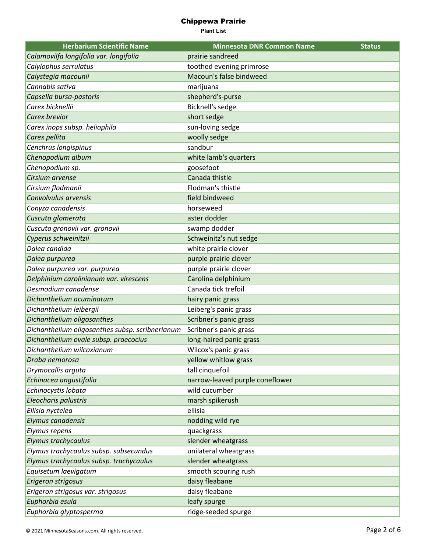| <b>Herbarium Scientific Name</b>                | <b>Minnesota DNR Common Name</b> | <b>Status</b> |
|-------------------------------------------------|----------------------------------|---------------|
| Calamovilfa longifolia var. longifolia          | prairie sandreed                 |               |
| Calylophus serrulatus                           | toothed evening primrose         |               |
| Calystegia macounii                             | Macoun's false bindweed          |               |
| Cannabis sativa                                 | marijuana                        |               |
| Capsella bursa-pastoris                         | shepherd's-purse                 |               |
| Carex bicknellii                                | Bicknell's sedge                 |               |
| Carex brevior                                   | short sedge                      |               |
| Carex inops subsp. heliophila                   | sun-loving sedge                 |               |
| Carex pellita                                   | woolly sedge                     |               |
| Cenchrus longispinus                            | sandbur                          |               |
| Chenopodium album                               | white lamb's quarters            |               |
| Chenopodium sp.                                 | goosefoot                        |               |
| Cirsium arvense                                 | Canada thistle                   |               |
| Cirsium flodmanii                               | Flodman's thistle                |               |
| Convolvulus arvensis                            | field bindweed                   |               |
| Conyza canadensis                               | horseweed                        |               |
| Cuscuta glomerata                               | aster dodder                     |               |
| Cuscuta gronovii var. gronovii                  | swamp dodder                     |               |
| Cyperus schweinitzii                            | Schweinitz's nut sedge           |               |
| Dalea candida                                   | white prairie clover             |               |
| Dalea purpurea                                  | purple prairie clover            |               |
| Dalea purpurea var. purpurea                    | purple prairie clover            |               |
| Delphinium carolinianum var. virescens          | Carolina delphinium              |               |
| Desmodium canadense                             | Canada tick trefoil              |               |
| Dichanthelium acuminatum                        | hairy panic grass                |               |
| Dichanthelium leibergii                         | Leiberg's panic grass            |               |
| Dichanthelium oligosanthes                      | Scribner's panic grass           |               |
| Dichanthelium oligosanthes subsp. scribnerianum | Scribner's panic grass           |               |
| Dichanthelium ovale subsp. praecocius           | long-haired panic grass          |               |
| Dichanthelium wilcoxianum                       | Wilcox's panic grass             |               |
| Draba nemorosa                                  | yellow whitlow grass             |               |
| Drymocallis arguta                              | tall cinquefoil                  |               |
| Echinacea angustifolia                          | narrow-leaved purple coneflower  |               |
| Echinocystis lobata                             | wild cucumber                    |               |
| Eleocharis palustris                            | marsh spikerush                  |               |
| Ellisia nyctelea                                | ellisia                          |               |
| Elymus canadensis                               | nodding wild rye                 |               |
| Elymus repens                                   | quackgrass                       |               |
| Elymus trachycaulus                             | slender wheatgrass               |               |
| Elymus trachycaulus subsp. subsecundus          | unilateral wheatgrass            |               |
| Elymus trachycaulus subsp. trachycaulus         | slender wheatgrass               |               |
| Equisetum laevigatum                            | smooth scouring rush             |               |
| Erigeron strigosus                              | daisy fleabane                   |               |
| Erigeron strigosus var. strigosus               | daisy fleabane                   |               |
| Euphorbia esula                                 | leafy spurge                     |               |
| Euphorbia glyptosperma                          | ridge-seeded spurge              |               |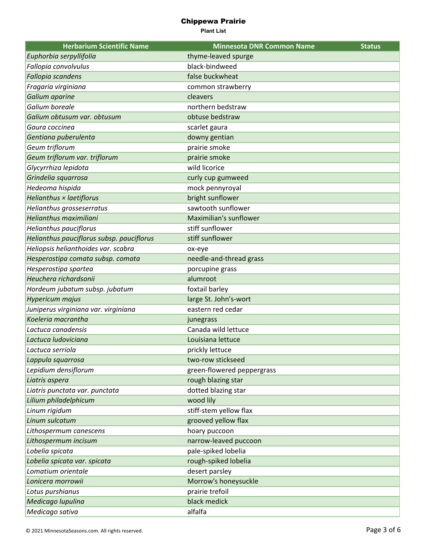| <b>Herbarium Scientific Name</b>          | <b>Minnesota DNR Common Name</b> | <b>Status</b> |
|-------------------------------------------|----------------------------------|---------------|
| Euphorbia serpyllifolia                   | thyme-leaved spurge              |               |
| Fallopia convolvulus                      | black-bindweed                   |               |
| Fallopia scandens                         | false buckwheat                  |               |
| Fragaria virginiana                       | common strawberry                |               |
| Galium aparine                            | cleavers                         |               |
| Galium boreale                            | northern bedstraw                |               |
| Galium obtusum var. obtusum               | obtuse bedstraw                  |               |
| Gaura coccinea                            | scarlet gaura                    |               |
| Gentiana puberulenta                      | downy gentian                    |               |
| Geum triflorum                            | prairie smoke                    |               |
| Geum triflorum var. triflorum             | prairie smoke                    |               |
| Glycyrrhiza lepidota                      | wild licorice                    |               |
| Grindelia squarrosa                       | curly cup gumweed                |               |
| Hedeoma hispida                           | mock pennyroyal                  |               |
| Helianthus × laetiflorus                  | bright sunflower                 |               |
| Helianthus grosseserratus                 | sawtooth sunflower               |               |
| Helianthus maximiliani                    | Maximilian's sunflower           |               |
| <b>Helianthus pauciflorus</b>             | stiff sunflower                  |               |
| Helianthus pauciflorus subsp. pauciflorus | stiff sunflower                  |               |
| Heliopsis helianthoides var. scabra       | ox-eye                           |               |
| Hesperostipa comata subsp. comata         | needle-and-thread grass          |               |
| Hesperostipa spartea                      | porcupine grass                  |               |
| Heuchera richardsonii                     | alumroot                         |               |
| Hordeum jubatum subsp. jubatum            | foxtail barley                   |               |
| Hypericum majus                           | large St. John's-wort            |               |
| Juniperus virginiana var. virginiana      | eastern red cedar                |               |
| Koeleria macrantha                        | junegrass                        |               |
| Lactuca canadensis                        | Canada wild lettuce              |               |
| Lactuca ludoviciana                       | Louisiana lettuce                |               |
| Lactuca serriola                          | prickly lettuce                  |               |
| Lappula squarrosa                         | two-row stickseed                |               |
| Lepidium densiflorum                      | green-flowered peppergrass       |               |
| Liatris aspera                            | rough blazing star               |               |
| Liatris punctata var. punctata            | dotted blazing star              |               |
| Lilium philadelphicum                     | wood lily                        |               |
| Linum rigidum                             | stiff-stem yellow flax           |               |
| Linum sulcatum                            | grooved yellow flax              |               |
| Lithospermum canescens                    | hoary puccoon                    |               |
| Lithospermum incisum                      | narrow-leaved puccoon            |               |
| Lobelia spicata                           | pale-spiked lobelia              |               |
| Lobelia spicata var. spicata              | rough-spiked lobelia             |               |
| Lomatium orientale                        | desert parsley                   |               |
| Lonicera morrowii                         | Morrow's honeysuckle             |               |
| Lotus purshianus                          | prairie trefoil                  |               |
| Medicago lupulina                         | black medick                     |               |
| Medicago sativa                           | alfalfa                          |               |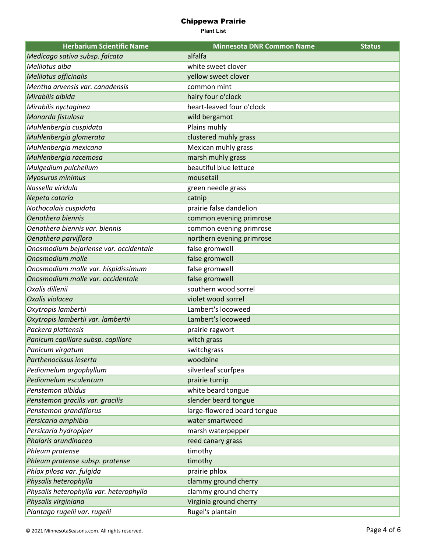| <b>Herbarium Scientific Name</b>        | <b>Minnesota DNR Common Name</b> | <b>Status</b> |
|-----------------------------------------|----------------------------------|---------------|
| Medicago sativa subsp. falcata          | alfalfa                          |               |
| Melilotus alba                          | white sweet clover               |               |
| Melilotus officinalis                   | yellow sweet clover              |               |
| Mentha arvensis var. canadensis         | common mint                      |               |
| Mirabilis albida                        | hairy four o'clock               |               |
| Mirabilis nyctaginea                    | heart-leaved four o'clock        |               |
| Monarda fistulosa                       | wild bergamot                    |               |
| Muhlenbergia cuspidata                  | Plains muhly                     |               |
| Muhlenbergia glomerata                  | clustered muhly grass            |               |
| Muhlenbergia mexicana                   | Mexican muhly grass              |               |
| Muhlenbergia racemosa                   | marsh muhly grass                |               |
| Mulgedium pulchellum                    | beautiful blue lettuce           |               |
| Myosurus minimus                        | mousetail                        |               |
| Nassella viridula                       | green needle grass               |               |
| Nepeta cataria                          | catnip                           |               |
| Nothocalais cuspidata                   | prairie false dandelion          |               |
| Oenothera biennis                       | common evening primrose          |               |
| Oenothera biennis var. biennis          | common evening primrose          |               |
| Oenothera parviflora                    | northern evening primrose        |               |
| Onosmodium bejariense var. occidentale  | false gromwell                   |               |
| Onosmodium molle                        | false gromwell                   |               |
| Onosmodium molle var. hispidissimum     | false gromwell                   |               |
| Onosmodium molle var. occidentale       | false gromwell                   |               |
| Oxalis dillenii                         | southern wood sorrel             |               |
| Oxalis violacea                         | violet wood sorrel               |               |
| Oxytropis lambertii                     | Lambert's locoweed               |               |
| Oxytropis lambertii var. lambertii      | Lambert's locoweed               |               |
| Packera plattensis                      | prairie ragwort                  |               |
| Panicum capillare subsp. capillare      | witch grass                      |               |
| Panicum virgatum                        | switchgrass                      |               |
| Parthenocissus inserta                  | woodbine                         |               |
| Pediomelum argophyllum                  | silverleaf scurfpea              |               |
| Pediomelum esculentum                   | prairie turnip                   |               |
| Penstemon albidus                       | white beard tongue               |               |
| Penstemon gracilis var. gracilis        | slender beard tongue             |               |
| Penstemon grandiflorus                  | large-flowered beard tongue      |               |
| Persicaria amphibia                     | water smartweed                  |               |
| Persicaria hydropiper                   | marsh waterpepper                |               |
| Phalaris arundinacea                    | reed canary grass                |               |
| Phleum pratense                         | timothy                          |               |
| Phleum pratense subsp. pratense         | timothy                          |               |
| Phlox pilosa var. fulgida               | prairie phlox                    |               |
| Physalis heterophylla                   | clammy ground cherry             |               |
| Physalis heterophylla var. heterophylla | clammy ground cherry             |               |
| Physalis virginiana                     | Virginia ground cherry           |               |
| Plantago rugelii var. rugelii           | Rugel's plantain                 |               |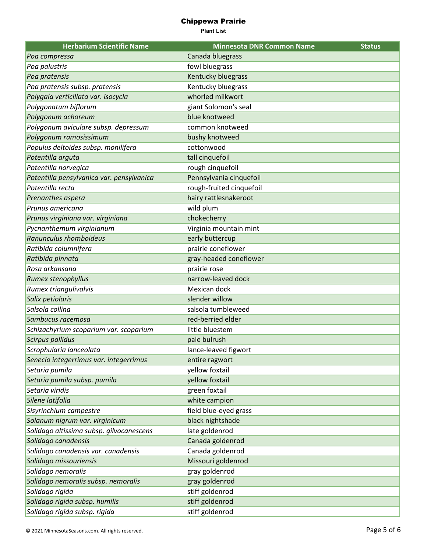| <b>Herbarium Scientific Name</b>          | <b>Minnesota DNR Common Name</b> | <b>Status</b> |
|-------------------------------------------|----------------------------------|---------------|
| Poa compressa                             | Canada bluegrass                 |               |
| Poa palustris                             | fowl bluegrass                   |               |
| Poa pratensis                             | Kentucky bluegrass               |               |
| Poa pratensis subsp. pratensis            | Kentucky bluegrass               |               |
| Polygala verticillata var. isocycla       | whorled milkwort                 |               |
| Polygonatum biflorum                      | giant Solomon's seal             |               |
| Polygonum achoreum                        | blue knotweed                    |               |
| Polygonum aviculare subsp. depressum      | common knotweed                  |               |
| Polygonum ramosissimum                    | bushy knotweed                   |               |
| Populus deltoides subsp. monilifera       | cottonwood                       |               |
| Potentilla arguta                         | tall cinquefoil                  |               |
| Potentilla norvegica                      | rough cinquefoil                 |               |
| Potentilla pensylvanica var. pensylvanica | Pennsylvania cinquefoil          |               |
| Potentilla recta                          | rough-fruited cinquefoil         |               |
| Prenanthes aspera                         | hairy rattlesnakeroot            |               |
| Prunus americana                          | wild plum                        |               |
| Prunus virginiana var. virginiana         | chokecherry                      |               |
| Pycnanthemum virginianum                  | Virginia mountain mint           |               |
| Ranunculus rhomboideus                    | early buttercup                  |               |
| Ratibida columnifera                      | prairie coneflower               |               |
| Ratibida pinnata                          | gray-headed coneflower           |               |
| Rosa arkansana                            | prairie rose                     |               |
| Rumex stenophyllus                        | narrow-leaved dock               |               |
| Rumex triangulivalvis                     | Mexican dock                     |               |
| Salix petiolaris                          | slender willow                   |               |
| Salsola collina                           | salsola tumbleweed               |               |
| Sambucus racemosa                         | red-berried elder                |               |
| Schizachyrium scoparium var. scoparium    | little bluestem                  |               |
| Scirpus pallidus                          | pale bulrush                     |               |
| Scrophularia lanceolata                   | lance-leaved figwort             |               |
| Senecio integerrimus var. integerrimus    | entire ragwort                   |               |
| Setaria pumila                            | yellow foxtail                   |               |
| Setaria pumila subsp. pumila              | yellow foxtail                   |               |
| Setaria viridis                           | green foxtail                    |               |
| Silene latifolia                          | white campion                    |               |
| Sisyrinchium campestre                    | field blue-eyed grass            |               |
| Solanum nigrum var. virginicum            | black nightshade                 |               |
| Solidago altissima subsp. gilvocanescens  | late goldenrod                   |               |
| Solidago canadensis                       | Canada goldenrod                 |               |
| Solidago canadensis var. canadensis       | Canada goldenrod                 |               |
| Solidago missouriensis                    | Missouri goldenrod               |               |
| Solidago nemoralis                        | gray goldenrod                   |               |
| Solidago nemoralis subsp. nemoralis       | gray goldenrod                   |               |
| Solidago rigida                           | stiff goldenrod                  |               |
| Solidago rigida subsp. humilis            | stiff goldenrod                  |               |
| Solidago rigida subsp. rigida             | stiff goldenrod                  |               |